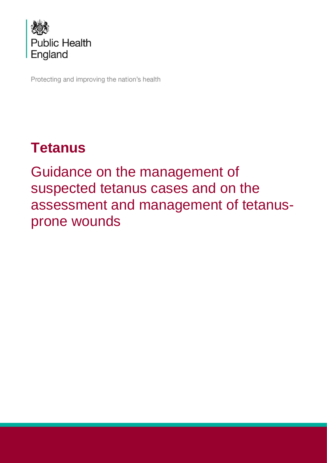

Protecting and improving the nation's health

# **Tetanus**

Guidance on the management of suspected tetanus cases and on the assessment and management of tetanusprone wounds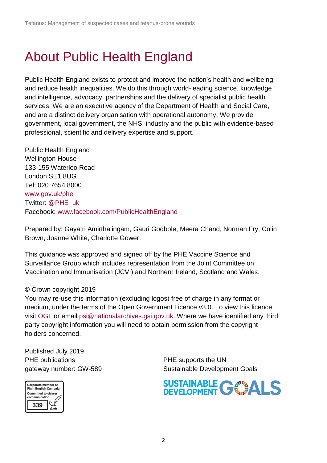## <span id="page-1-0"></span>About Public Health England

Public Health England exists to protect and improve the nation's health and wellbeing, and reduce health inequalities. We do this through world-leading science, knowledge and intelligence, advocacy, partnerships and the delivery of specialist public health services. We are an executive agency of the Department of Health and Social Care, and are a distinct delivery organisation with operational autonomy. We provide government, local government, the NHS, industry and the public with evidence-based professional, scientific and delivery expertise and support.

Public Health England Wellington House 133-155 Waterloo Road London SE1 8UG Tel: 020 7654 8000 [www.gov.uk/phe](http://www.gov.uk/phe) Twitter: [@PHE\\_uk](https://twitter.com/PHE_uk) Facebook: [www.facebook.com/PublicHealthEngland](http://www.facebook.com/PublicHealthEngland)

Prepared by: Gayatri Amirthalingam, Gauri Godbole, Meera Chand, Norman Fry, Colin Brown, Joanne White, Charlotte Gower.

This guidance was approved and signed off by the PHE Vaccine Science and Surveillance Group which includes representation from the Joint Committee on Vaccination and Immunisation (JCVI) and Northern Ireland, Scotland and Wales.

#### © Crown copyright 2019

You may re-use this information (excluding logos) free of charge in any format or medium, under the terms of the Open Government Licence v3.0. To view this licence, visit [OGL](https://www.nationalarchives.gov.uk/doc/open-government-licence/version/3/) or email [psi@nationalarchives.gsi.gov.uk.](mailto:psi@nationalarchives.gsi.gov.uk) Where we have identified any third party copyright information you will need to obtain permission from the copyright holders concerned.

Published July 2019 PHE publications **PHE** supports the UN



gateway number: GW-589 Sustainable Development Goals

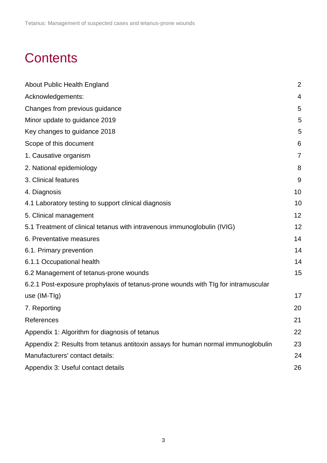## **Contents**

| About Public Health England                                                        | $\overline{2}$ |
|------------------------------------------------------------------------------------|----------------|
| Acknowledgements:                                                                  | 4              |
| Changes from previous guidance                                                     | 5              |
| Minor update to guidance 2019                                                      | 5              |
| Key changes to guidance 2018                                                       | 5              |
| Scope of this document                                                             | 6              |
| 1. Causative organism                                                              | 7              |
| 2. National epidemiology                                                           | 8              |
| 3. Clinical features                                                               | 9              |
| 4. Diagnosis                                                                       | 10             |
| 4.1 Laboratory testing to support clinical diagnosis                               | 10             |
| 5. Clinical management                                                             | 12             |
| 5.1 Treatment of clinical tetanus with intravenous immunoglobulin (IVIG)           | 12             |
| 6. Preventative measures                                                           | 14             |
| 6.1. Primary prevention                                                            | 14             |
| 6.1.1 Occupational health                                                          | 14             |
| 6.2 Management of tetanus-prone wounds                                             | 15             |
| 6.2.1 Post-exposure prophylaxis of tetanus-prone wounds with TIg for intramuscular |                |
| use (IM-TIg)                                                                       | 17             |
| 7. Reporting                                                                       | 20             |
| References                                                                         | 21             |
| Appendix 1: Algorithm for diagnosis of tetanus                                     | 22             |
| Appendix 2: Results from tetanus antitoxin assays for human normal immunoglobulin  | 23             |
| Manufacturers' contact details:                                                    | 24             |
| Appendix 3: Useful contact details                                                 | 26             |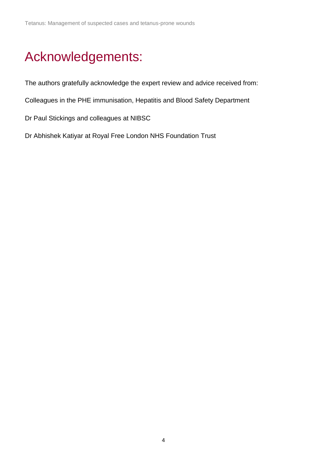## <span id="page-3-0"></span>Acknowledgements:

The authors gratefully acknowledge the expert review and advice received from:

Colleagues in the PHE immunisation, Hepatitis and Blood Safety Department

Dr Paul Stickings and colleagues at NIBSC

Dr Abhishek Katiyar at Royal Free London NHS Foundation Trust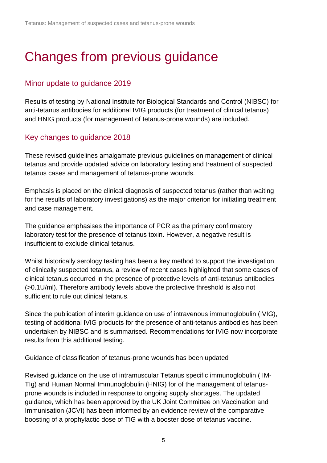# <span id="page-4-0"></span>Changes from previous guidance

### <span id="page-4-1"></span>Minor update to guidance 2019

Results of testing by National Institute for Biological Standards and Control (NIBSC) for anti-tetanus antibodies for additional IVIG products (for treatment of clinical tetanus) and HNIG products (for management of tetanus-prone wounds) are included.

### <span id="page-4-2"></span>Key changes to guidance 2018

These revised guidelines amalgamate previous guidelines on management of clinical tetanus and provide updated advice on laboratory testing and treatment of suspected tetanus cases and management of tetanus-prone wounds.

Emphasis is placed on the clinical diagnosis of suspected tetanus (rather than waiting for the results of laboratory investigations) as the major criterion for initiating treatment and case management.

The guidance emphasises the importance of PCR as the primary confirmatory laboratory test for the presence of tetanus toxin. However, a negative result is insufficient to exclude clinical tetanus.

Whilst historically serology testing has been a key method to support the investigation of clinically suspected tetanus, a review of recent cases highlighted that some cases of clinical tetanus occurred in the presence of protective levels of anti-tetanus antibodies (>0.1U/ml). Therefore antibody levels above the protective threshold is also not sufficient to rule out clinical tetanus.

Since the publication of interim guidance on use of intravenous immunoglobulin (IVIG), testing of additional IVIG products for the presence of anti-tetanus antibodies has been undertaken by NIBSC and is summarised. Recommendations for IVIG now incorporate results from this additional testing.

Guidance of classification of tetanus-prone wounds has been updated

Revised guidance on the use of intramuscular Tetanus specific immunoglobulin ( IM-TIg) and Human Normal Immunoglobulin (HNIG) for of the management of tetanusprone wounds is included in response to ongoing supply shortages. The updated guidance, which has been approved by the UK Joint Committee on Vaccination and Immunisation (JCVI) has been informed by an evidence review of the comparative boosting of a prophylactic dose of TIG with a booster dose of tetanus vaccine.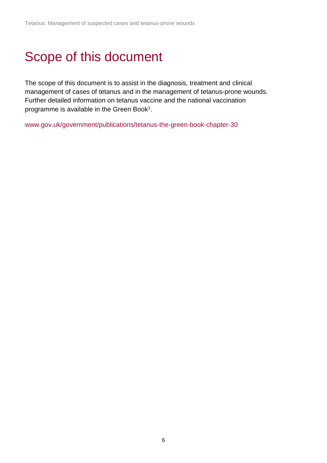# <span id="page-5-0"></span>Scope of this document

The scope of this document is to assist in the diagnosis, treatment and clinical management of cases of tetanus and in the management of tetanus-prone wounds. Further detailed information on tetanus vaccine and the national vaccination programme is available in the Green Book<sup>1</sup>.

www.gov.uk/government/publications/tetanus-the-green-book-chapter-30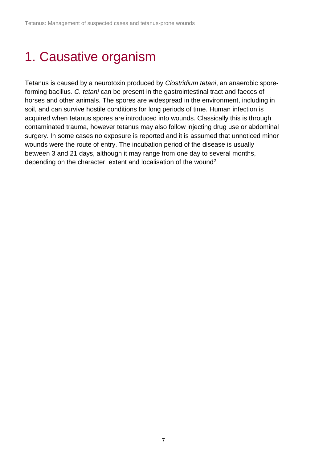# <span id="page-6-0"></span>1. Causative organism

Tetanus is caused by a neurotoxin produced by *Clostridium tetani*, an anaerobic sporeforming bacillus*. C. tetani* can be present in the gastrointestinal tract and faeces of horses and other animals. The spores are widespread in the environment, including in soil, and can survive hostile conditions for long periods of time. Human infection is acquired when tetanus spores are introduced into wounds. Classically this is through contaminated trauma, however tetanus may also follow injecting drug use or abdominal surgery. In some cases no exposure is reported and it is assumed that unnoticed minor wounds were the route of entry. The incubation period of the disease is usually between 3 and 21 days, although it may range from one day to several months, depending on the character, extent and localisation of the wound<sup>2</sup>.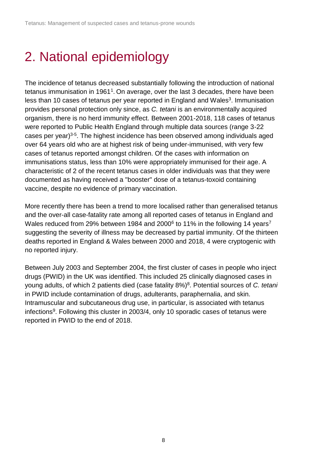# <span id="page-7-0"></span>2. National epidemiology

The incidence of tetanus decreased substantially following the introduction of national tetanus immunisation in 1961<sup>1</sup>. On average, over the last 3 decades, there have been less than 10 cases of tetanus per year reported in England and Wales<sup>3</sup>. Immunisation provides personal protection only since, as *C. tetani* is an environmentally acquired organism, there is no herd immunity effect. Between 2001-2018, 118 cases of tetanus were reported to Public Health England through multiple data sources (range 3-22 cases per year)<sup>3-5</sup>. The highest incidence has been observed among individuals aged over 64 years old who are at highest risk of being under-immunised, with very few cases of tetanus reported amongst children. Of the cases with information on immunisations status, less than 10% were appropriately immunised for their age. A characteristic of 2 of the recent tetanus cases in older individuals was that they were documented as having received a "booster" dose of a tetanus-toxoid containing vaccine, despite no evidence of primary vaccination.

More recently there has been a trend to more localised rather than generalised tetanus and the over-all case-fatality rate among all reported cases of tetanus in England and Wales reduced from 29% between 1984 and 2000 $^6$  to 11% in the following 14 years<sup>7</sup> suggesting the severity of illness may be decreased by partial immunity. Of the thirteen deaths reported in England & Wales between 2000 and 2018, 4 were cryptogenic with no reported injury.

Between July 2003 and September 2004, the first cluster of cases in people who inject drugs (PWID) in the UK was identified. This included 25 clinically diagnosed cases in young adults, of which 2 patients died (case fatality 8%)<sup>8</sup>. Potential sources of *C. tetani* in PWID include contamination of drugs, adulterants, paraphernalia, and skin. Intramuscular and subcutaneous drug use, in particular, is associated with tetanus infections<sup>9</sup>. Following this cluster in 2003/4, only 10 sporadic cases of tetanus were reported in PWID to the end of 2018.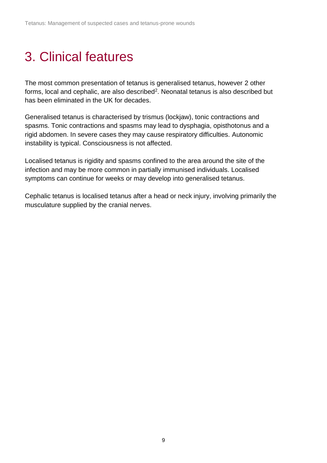## <span id="page-8-0"></span>3. Clinical features

The most common presentation of tetanus is generalised tetanus, however 2 other forms, local and cephalic, are also described<sup>2</sup>. Neonatal tetanus is also described but has been eliminated in the UK for decades.

Generalised tetanus is characterised by trismus (lockjaw), tonic contractions and spasms. Tonic contractions and spasms may lead to dysphagia, opisthotonus and a rigid abdomen. In severe cases they may cause respiratory difficulties. Autonomic instability is typical. Consciousness is not affected.

Localised tetanus is rigidity and spasms confined to the area around the site of the infection and may be more common in partially immunised individuals. Localised symptoms can continue for weeks or may develop into generalised tetanus.

Cephalic tetanus is localised tetanus after a head or neck injury, involving primarily the musculature supplied by the cranial nerves.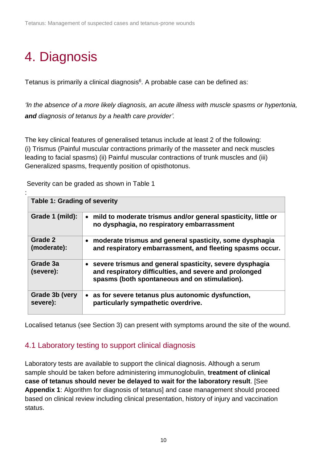# <span id="page-9-0"></span>4. Diagnosis

Tetanus is primarily a clinical diagnosis<sup>6</sup>. A probable case can be defined as:

*'In the absence of a more likely diagnosis, an acute illness with muscle spasms or hypertonia, and diagnosis of tetanus by a health care provider'.*

The key clinical features of generalised tetanus include at least 2 of the following: (i) Trismus (Painful muscular contractions primarily of the masseter and neck muscles leading to facial spasms) (ii) Painful muscular contractions of trunk muscles and (iii) Generalized spasms, frequently position of opisthotonus.

: **Table 1: Grading of severity Grade 1 (mild):** • **mild to moderate trismus and/or general spasticity, little or no dysphagia, no respiratory embarrassment Grade 2 (moderate):** • **moderate trismus and general spasticity, some dysphagia and respiratory embarrassment, and fleeting spasms occur. Grade 3a (severe):** • **severe trismus and general spasticity, severe dysphagia and respiratory difficulties, and severe and prolonged spasms (both spontaneous and on stimulation). Grade 3b (very severe):** • **as for severe tetanus plus autonomic dysfunction, particularly sympathetic overdrive.**

Severity can be graded as shown in Table 1

Localised tetanus (see Section 3) can present with symptoms around the site of the wound.

### <span id="page-9-1"></span>4.1 Laboratory testing to support clinical diagnosis

Laboratory tests are available to support the clinical diagnosis. Although a serum sample should be taken before administering immunoglobulin, **treatment of clinical case of tetanus should never be delayed to wait for the laboratory result**. [See **Appendix 1**: Algorithm for diagnosis of tetanus] and case management should proceed based on clinical review including clinical presentation, history of injury and vaccination status.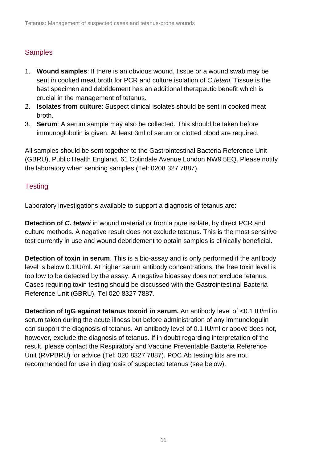### **Samples**

- 1. **Wound samples**: If there is an obvious wound, tissue or a wound swab may be sent in cooked meat broth for PCR and culture isolation of *C.tetani.* Tissue is the best specimen and debridement has an additional therapeutic benefit which is crucial in the management of tetanus.
- 2. **Isolates from culture**: Suspect clinical isolates should be sent in cooked meat broth.
- 3. **Serum**: A serum sample may also be collected. This should be taken before immunoglobulin is given. At least 3ml of serum or clotted blood are required.

All samples should be sent together to the Gastrointestinal Bacteria Reference Unit (GBRU), Public Health England, 61 Colindale Avenue London NW9 5EQ. Please notify the laboratory when sending samples (Tel: 0208 327 7887).

#### **Testing**

Laboratory investigations available to support a diagnosis of tetanus are:

**Detection of** *C. tetani* in wound material or from a pure isolate, by direct PCR and culture methods. A negative result does not exclude tetanus. This is the most sensitive test currently in use and wound debridement to obtain samples is clinically beneficial.

**Detection of toxin in serum**. This is a bio-assay and is only performed if the antibody level is below 0.1IU/ml. At higher serum antibody concentrations, the free toxin level is too low to be detected by the assay. A negative bioassay does not exclude tetanus. Cases requiring toxin testing should be discussed with the Gastrointestinal Bacteria Reference Unit (GBRU), Tel 020 8327 7887.

**Detection of IgG against tetanus toxoid in serum.** An antibody level of <0.1 IU/ml in serum taken during the acute illness but before administration of any immunologulin can support the diagnosis of tetanus. An antibody level of 0.1 IU/ml or above does not, however, exclude the diagnosis of tetanus. If in doubt regarding interpretation of the result, please contact the Respiratory and Vaccine Preventable Bacteria Reference Unit (RVPBRU) for advice (Tel; 020 8327 7887). POC Ab testing kits are not recommended for use in diagnosis of suspected tetanus (see below).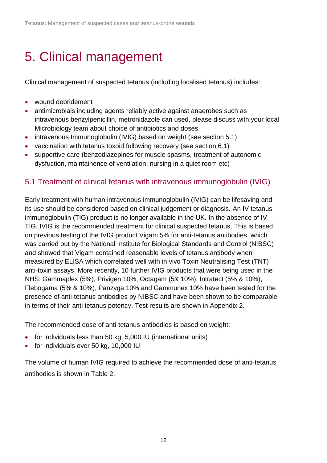# <span id="page-11-0"></span>5. Clinical management

Clinical management of suspected tetanus (including localised tetanus) includes:

- wound debridement
- antimicrobials including agents reliably active against anaerobes such as intravenous benzylpenicillin, metronidazole can used, please discuss with your local Microbiology team about choice of antibiotics and doses.
- intravenous Immunoglobulin (IVIG) based on weight (see section 5.1)
- vaccination with tetanus toxoid following recovery (see section 6.1)
- supportive care (benzodiazepines for muscle spasms, treatment of autonomic dysfuction, maintainence of ventilation, nursing in a quiet room etc)

### <span id="page-11-1"></span>5.1 Treatment of clinical tetanus with intravenous immunoglobulin (IVIG)

Early treatment with human intravenous immunoglobulin (IVIG) can be lifesaving and its use should be considered based on clinical judgement or diagnosis. An IV tetanus immunoglobulin (TIG) product is no longer available in the UK. In the absence of IV TIG, IVIG is the recommended treatment for clinical suspected tetanus. This is based on previous testing of the IVIG product Vigam 5% for anti-tetanus antibodies, which was carried out by the National Institute for Biological Standards and Control (NIBSC) and showed that Vigam contained reasonable levels of tetanus antibody when measured by ELISA which correlated well with in vivo Toxin Neutralising Test (TNT) anti-toxin assays. More recently, 10 further IVIG products that were being used in the NHS: Gammaplex (5%), Privigen 10%, Octagam (5& 10%), Intratect (5% & 10%), Flebogama (5% & 10%), Panzyga 10% and Gammunex 10% have been tested for the presence of anti-tetanus antibodies by NIBSC and have been shown to be comparable in terms of their anti tetanus potency. Test results are shown in Appendix 2.

The recommended dose of anti-tetanus antibodies is based on weight:

- for individuals less than 50 kg, 5,000 IU (international units)
- for individuals over 50 kg, 10,000 IU

The volume of human IVIG required to achieve the recommended dose of anti-tetanus antibodies is shown in Table 2: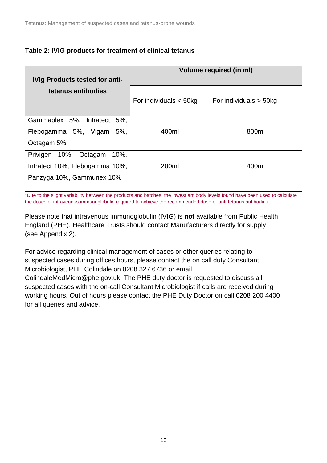#### **Table 2: IVIG products for treatment of clinical tetanus**

|                                       | <b>Volume required (in ml)</b> |                          |  |  |  |
|---------------------------------------|--------------------------------|--------------------------|--|--|--|
| <b>IVIg Products tested for anti-</b> |                                |                          |  |  |  |
| tetanus antibodies                    |                                |                          |  |  |  |
|                                       | For individuals $<$ 50kg       | For individuals $>$ 50kg |  |  |  |
|                                       |                                |                          |  |  |  |
| Gammaplex 5%, Intratect 5%,           |                                |                          |  |  |  |
| Flebogamma 5%, Vigam<br>5%            | 400ml                          | 800ml                    |  |  |  |
| Octagam 5%                            |                                |                          |  |  |  |
| 10%, Octagam<br>10%<br>Privigen       |                                |                          |  |  |  |
| Intratect 10%, Flebogamma 10%,        | 200ml                          | 400ml                    |  |  |  |
| Panzyga 10%, Gammunex 10%             |                                |                          |  |  |  |
|                                       |                                |                          |  |  |  |

\*Due to the slight variability between the products and batches, the lowest antibody levels found have been used to calculate the doses of intravenous immunoglobulin required to achieve the recommended dose of anti-tetanus antibodies.

Please note that intravenous immunoglobulin (IVIG) is **not** available from Public Health England (PHE). Healthcare Trusts should contact Manufacturers directly for supply (see Appendix 2).

For advice regarding clinical management of cases or other queries relating to suspected cases during offices hours, please contact the on call duty Consultant Microbiologist, PHE Colindale on 0208 327 6736 or email ColindaleMedMicro@phe.gov.uk. The PHE duty doctor is requested to discuss all suspected cases with the on-call Consultant Microbiologist if calls are received during working hours. Out of hours please contact the PHE Duty Doctor on call 0208 200 4400 for all queries and advice.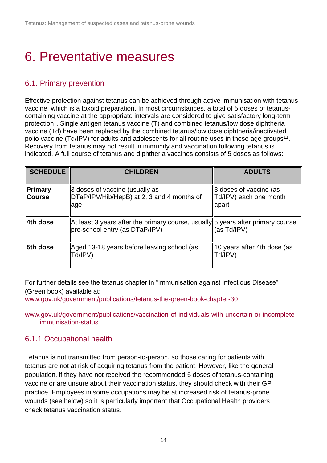# <span id="page-13-0"></span>6. Preventative measures

### <span id="page-13-1"></span>6.1. Primary prevention

Effective protection against tetanus can be achieved through active immunisation with tetanus vaccine, which is a toxoid preparation. In most circumstances, a total of 5 doses of tetanuscontaining vaccine at the appropriate intervals are considered to give satisfactory long-term protection<sup>1</sup>. Single antigen tetanus vaccine (T) and combined tetanus/low dose diphtheria vaccine (Td) have been replaced by the combined tetanus/low dose diphtheria/inactivated polio vaccine (Td/IPV) for adults and adolescents for all routine uses in these age groups<sup>11</sup>. Recovery from tetanus may not result in immunity and vaccination following tetanus is indicated. A full course of tetanus and diphtheria vaccines consists of 5 doses as follows:

| <b>SCHEDULE</b>          | <b>CHILDREN</b>                                                                                                   | <b>ADULTS</b>                                             |
|--------------------------|-------------------------------------------------------------------------------------------------------------------|-----------------------------------------------------------|
| Primary<br><b>Course</b> | 3 doses of vaccine (usually as<br>DTaP/IPV/Hib/HepB) at 2, 3 and 4 months of<br>llage                             | 3 doses of vaccine (as<br>Td/IPV) each one month<br>apart |
| 4th dose                 | At least 3 years after the primary course, usually 5 years after primary course<br>pre-school entry (as DTaP/IPV) | (as Td/IPV)                                               |
| <b>∥5th dose</b>         | Aged 13-18 years before leaving school (as<br>  Td/IPV)                                                           | 10 years after 4th dose (as<br>Td/IPV)                    |

For further details see the tetanus chapter in "Immunisation against Infectious Disease" (Green book) available at:

[www.gov.uk/government/publications/tetanus-the-green-book-chapter-30](http://www.gov.uk/government/publications/tetanus-the-green-book-chapter-30)

[www.gov.uk/government/publications/vaccination-of-individuals-with-uncertain-or-incomplete](http://www.gov.uk/government/publications/vaccination-of-individuals-with-uncertain-or-incomplete-immunisation-status)[immunisation-status](http://www.gov.uk/government/publications/vaccination-of-individuals-with-uncertain-or-incomplete-immunisation-status)

#### <span id="page-13-2"></span>6.1.1 Occupational health

Tetanus is not transmitted from person-to-person, so those caring for patients with tetanus are not at risk of acquiring tetanus from the patient. However, like the general population, if they have not received the recommended 5 doses of tetanus-containing vaccine or are unsure about their vaccination status, they should check with their GP practice. Employees in some occupations may be at increased risk of tetanus-prone wounds (see below) so it is particularly important that Occupational Health providers check tetanus vaccination status.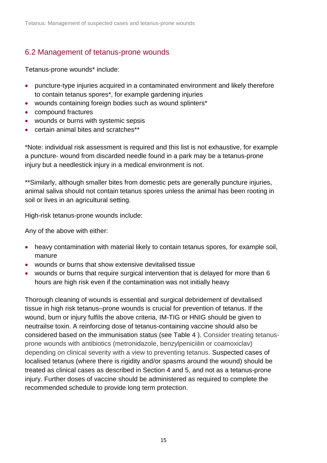### <span id="page-14-0"></span>6.2 Management of tetanus-prone wounds

Tetanus-prone wounds\* include:

- puncture-type injuries acquired in a contaminated environment and likely therefore to contain tetanus spores\*, for example gardening injuries
- wounds containing foreign bodies such as wound splinters\*
- compound fractures
- wounds or burns with systemic sepsis
- certain animal bites and scratches\*\*

\*Note: individual risk assessment is required and this list is not exhaustive, for example a puncture- wound from discarded needle found in a park may be a tetanus-prone injury but a needlestick injury in a medical environment is not.

\*\*Similarly, although smaller bites from domestic pets are generally puncture injuries, animal saliva should not contain tetanus spores unless the animal has been rooting in soil or lives in an agricultural setting.

High-risk tetanus-prone wounds include:

Any of the above with either:

- heavy contamination with material likely to contain tetanus spores, for example soil, manure
- wounds or burns that show extensive devitalised tissue
- wounds or burns that require surgical intervention that is delayed for more than 6 hours are high risk even if the contamination was not initially heavy

Thorough cleaning of wounds is essential and surgical debridement of devitalised tissue in high risk tetanus–prone wounds is crucial for prevention of tetanus. If the wound, burn or injury fulfils the above criteria, IM-TIG or HNIG should be given to neutrailse toxin. A reinforcing dose of tetanus-containing vaccine should also be considered based on the immunisation status (see Table 4 ). Consider treating tetanusprone wounds with antibiotics (metronidazole, benzylpeniciilin or coamoxiclav) depending on clinical severity with a view to preventing tetanus. Suspected cases of localised tetanus (where there is rigidity and/or spasms around the wound) should be treated as clinical cases as described in Section 4 and 5, and not as a tetanus-prone injury. Further doses of vaccine should be administered as required to complete the recommended schedule to provide long term protection.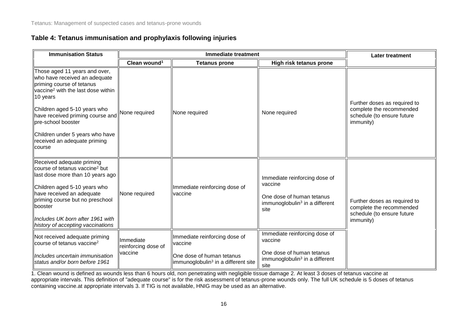#### **Table 4: Tetanus immunisation and prophylaxis following injuries**

| <b>Immunisation Status</b>                                                                                                                                                                                                                                                                                                       | <b>Immediate treatment</b>       |                                                                               |                                                                                                                             | <b>Later treatment</b>                                                                              |  |
|----------------------------------------------------------------------------------------------------------------------------------------------------------------------------------------------------------------------------------------------------------------------------------------------------------------------------------|----------------------------------|-------------------------------------------------------------------------------|-----------------------------------------------------------------------------------------------------------------------------|-----------------------------------------------------------------------------------------------------|--|
|                                                                                                                                                                                                                                                                                                                                  | Clean wound <sup>1</sup>         | <b>Tetanus prone</b>                                                          | High risk tetanus prone                                                                                                     |                                                                                                     |  |
| Those aged 11 years and over,<br>who have received an adequate<br>priming course of tetanus<br>vaccine <sup>2</sup> with the last dose within<br>10 years<br>Children aged 5-10 years who<br>have received priming course and<br>pre-school booster<br>Children under 5 years who have<br>received an adequate priming<br>course | None required                    | None required                                                                 | None required                                                                                                               | Further doses as required to<br>complete the recommended<br>schedule (to ensure future<br>immunity) |  |
| Received adequate priming<br>course of tetanus vaccine <sup>2</sup> but<br>last dose more than 10 years ago<br>Children aged 5-10 years who<br>have received an adequate<br>priming course but no preschool<br>booster<br>Includes UK born after 1961 with<br>history of accepting vaccinations                                  | None required                    | Immediate reinforcing dose of<br>lvaccine                                     | Immediate reinforcing dose of<br>vaccine<br>One dose of human tetanus<br>immunoglobulin <sup>3</sup> in a different<br>site | Further doses as required to<br>complete the recommended<br>schedule (to ensure future<br>immunity) |  |
| Not received adequate priming<br>course of tetanus vaccine <sup>2</sup>                                                                                                                                                                                                                                                          | Immediate<br>reinforcing dose of | Immediate reinforcing dose of<br>vaccine                                      | Immediate reinforcing dose of<br>vaccine                                                                                    |                                                                                                     |  |
| Includes uncertain immunisation<br>status and/or born before 1961                                                                                                                                                                                                                                                                | vaccine                          | One dose of human tetanus<br>limmunoglobulin <sup>3</sup> in a different site | One dose of human tetanus<br>immunoglobulin <sup>3</sup> in a different<br>site                                             |                                                                                                     |  |

1. Clean wound is defined as wounds less than 6 hours old, non penetrating with negligible tissue damage 2. At least 3 doses of tetanus vaccine at appropriate intervals. This definition of "adequate course" is for the risk assessment of tetanus-prone wounds only. The full UK schedule is 5 doses of tetanus containing vaccine.at appropriate intervals 3. If TIG is not available, HNIG may be used as an alternative.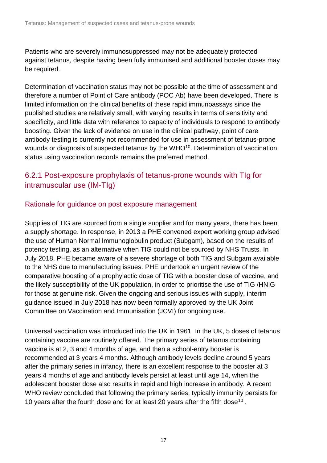Patients who are severely immunosuppressed may not be adequately protected against tetanus, despite having been fully immunised and additional booster doses may be required.

Determination of vaccination status may not be possible at the time of assessment and therefore a number of Point of Care antibody (POC Ab) have been developed. There is limited information on the clinical benefits of these rapid immunoassays since the published studies are relatively small, with varying results in terms of sensitivity and specificity, and little data with reference to capacity of individuals to respond to antibody boosting. Given the lack of evidence on use in the clinical pathway, point of care antibody testing is currently not recommended for use in assessment of tetanus-prone wounds or diagnosis of suspected tetanus by the WHO<sup>10</sup>. Determination of vaccination status using vaccination records remains the preferred method.

### <span id="page-16-0"></span>6.2.1 Post-exposure prophylaxis of tetanus-prone wounds with TIg for intramuscular use (IM-TIg)

#### Rationale for guidance on post exposure management

Supplies of TIG are sourced from a single supplier and for many years, there has been a supply shortage. In response, in 2013 a PHE convened expert working group advised the use of Human Normal Immunoglobulin product (Subgam), based on the results of potency testing, as an alternative when TIG could not be sourced by NHS Trusts. In July 2018, PHE became aware of a severe shortage of both TIG and Subgam available to the NHS due to manufacturing issues. PHE undertook an urgent review of the comparative boosting of a prophylactic dose of TIG with a booster dose of vaccine, and the likely susceptibility of the UK population, in order to prioritise the use of TIG /HNIG for those at genuine risk. Given the ongoing and serious issues with supply, interim guidance issued in July 2018 has now been formally approved by the UK Joint Committee on Vaccination and Immunisation (JCVI) for ongoing use.

Universal vaccination was introduced into the UK in 1961. In the UK, 5 doses of tetanus containing vaccine are routinely offered. The primary series of tetanus containing vaccine is at 2, 3 and 4 months of age, and then a school-entry booster is recommended at 3 years 4 months. Although antibody levels decline around 5 years after the primary series in infancy, there is an excellent response to the booster at 3 years 4 months of age and antibody levels persist at least until age 14, when the adolescent booster dose also results in rapid and high increase in antibody. A recent WHO review concluded that following the primary series, typically immunity persists for 10 years after the fourth dose and for at least 20 years after the fifth dose<sup>10</sup>.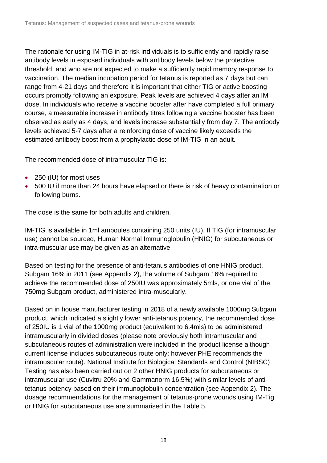The rationale for using IM-TIG in at-risk individuals is to sufficiently and rapidly raise antibody levels in exposed individuals with antibody levels below the protective threshold, and who are not expected to make a sufficiently rapid memory response to vaccination. The median incubation period for tetanus is reported as 7 days but can range from 4-21 days and therefore it is important that either TIG or active boosting occurs promptly following an exposure. Peak levels are achieved 4 days after an IM dose. In individuals who receive a vaccine booster after have completed a full primary course, a measurable increase in antibody titres following a vaccine booster has been observed as early as 4 days, and levels increase substantially from day 7. The antibody levels achieved 5-7 days after a reinforcing dose of vaccine likely exceeds the estimated antibody boost from a prophylactic dose of IM-TIG in an adult.

The recommended dose of intramuscular TIG is:

- 250 (IU) for most uses
- 500 IU if more than 24 hours have elapsed or there is risk of heavy contamination or following burns.

The dose is the same for both adults and children.

IM-TIG is available in 1ml ampoules containing 250 units (IU). If TIG (for intramuscular use) cannot be sourced, Human Normal Immunoglobulin (HNIG) for subcutaneous or intra-muscular use may be given as an alternative.

Based on testing for the presence of anti-tetanus antibodies of one HNIG product, Subgam 16% in 2011 (see Appendix 2), the volume of Subgam 16% required to achieve the recommended dose of 250IU was approximately 5mls, or one vial of the 750mg Subgam product, administered intra-muscularly.

Based on in house manufacturer testing in 2018 of a newly available 1000mg Subgam product, which indicated a slightly lower anti-tetanus potency, the recommended dose of 250IU is 1 vial of the 1000mg product (equivalent to 6.4mls) to be administered intramuscularly in divided doses (please note previously both intramuscular and subcutaneous routes of administration were included in the product license although current license includes subcutaneous route only; however PHE recommends the intramuscular route). National Institute for Biological Standards and Control (NIBSC) Testing has also been carried out on 2 other HNIG products for subcutaneous or intramuscular use (Cuvitru 20% and Gammanorm 16.5%) with similar levels of antitetanus potency based on their immunoglobulin concentration (see Appendix 2). The dosage recommendations for the management of tetanus-prone wounds using IM-Tig or HNIG for subcutaneous use are summarised in the Table 5.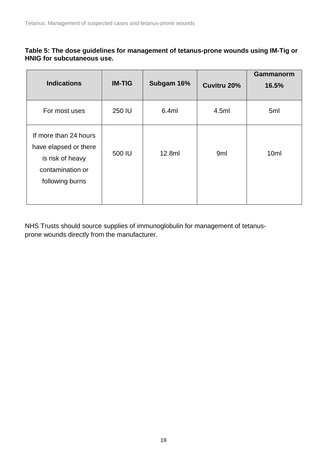#### **Table 5: The dose guidelines for management of tetanus-prone wounds using IM-Tig or HNIG for subcutaneous use.**

| <b>Indications</b>                                                                                        | <b>IM-TIG</b> | Subgam 16% | Cuvitru 20%     | Gammanorm<br>16.5% |
|-----------------------------------------------------------------------------------------------------------|---------------|------------|-----------------|--------------------|
| For most uses                                                                                             | 250 IU        | 6.4ml      | 4.5ml           | 5 <sub>ml</sub>    |
| If more than 24 hours<br>have elapsed or there<br>is risk of heavy<br>contamination or<br>following burns | 500 IU        | 12.8ml     | 9 <sub>ml</sub> | 10 <sub>ml</sub>   |

NHS Trusts should source supplies of immunoglobulin for management of tetanusprone wounds directly from the manufacturer.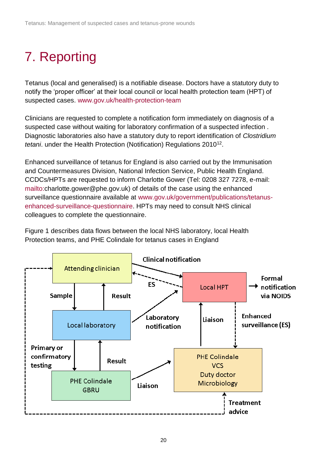# <span id="page-19-0"></span>7. Reporting

Tetanus (local and generalised) is a notifiable disease. Doctors have a statutory duty to notify the 'proper officer' at their local council or local health protection team (HPT) of suspected cases. [www.gov.uk/health-protection-team](http://www.gov.uk/health-protection-team)

Clinicians are requested to complete a [notification form](https://www.gov.uk/government/publications/notifiable-diseases-form-for-registered-medical-practitioners) immediately on diagnosis of a suspected case without waiting for laboratory confirmation of a suspected infection . Diagnostic laboratories also have a statutory duty to report identification of *Clostridium*  tetani. under the Health Protection (Notification) Regulations 2010<sup>12</sup>.

Enhanced surveillance of tetanus for England is also carried out by the Immunisation and Countermeasures Division, National Infection Service, Public Health England. CCDCs/HPTs are requested to inform Charlotte Gower (Tel: 0208 327 7278, e-mail: [mailto:c](mailto:)harlotte.gower@phe.gov.uk) of details of the case using the enhanced surveillance questionnaire available at [www.gov.uk/government/publications/tetanus](http://www.gov.uk/government/publications/tetanus-enhanced-surveillance-questionnaire)[enhanced-surveillance-questionnaire.](http://www.gov.uk/government/publications/tetanus-enhanced-surveillance-questionnaire) HPTs may need to consult NHS clinical colleagues to complete the questionnaire.

Figure 1 describes data flows between the local NHS laboratory, local Health Protection teams, and PHE Colindale for tetanus cases in England

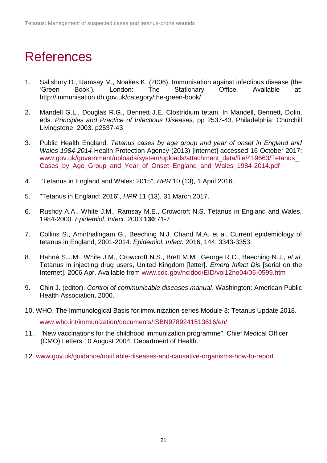## <span id="page-20-0"></span>References

- 1. Salisbury D., Ramsay M., Noakes K. (2006). Immunisation against infectious disease (the 'Green Book'). London: The Stationary Office. Available at: http://immunisation.dh.gov.uk/category/the-green-book/
- 2. Mandell G.L., Douglas R.G., Bennett J.E. Clostridium tetani. In Mandell, Bennett, Dolin, eds. *Principles and Practice of Infectious Diseases*, pp 2537-43. Philadelphia: Churchill Livingstone, 2003. p2537-43.
- 3. Public Health England. *Tetanus cases by age group and year of onset in England and Wales 1984-2014* Health Protection Agency (2013) [internet] accessed 16 October 2017: [www.gov.uk/government/uploads/system/uploads/attachment\\_data/file/419663/Tetanus\\_](https://www.gov.uk/government/uploads/system/uploads/attachment_data/file/419663/Tetanus_Cases_by_Age_Group_and_Year_of_Onset_England_and_Wales_1984-2014.pdf) Cases by Age Group and Year of Onset England and Wales 1984-2014.pdf
- 4. "Tetanus in England and Wales: 2015", *HPR* 10 (13), 1 April 2016.
- 5. "Tetanus in England: 2016", *HPR* 11 (13), 31 March 2017.
- 6. Rushdy A.A., White J.M., Ramsay M.E., Crowcroft N.S. Tetanus in England and Wales, 1984-2000. *Epidemiol. Infect.* 2003;**130**:71-7.
- 7. Collins S., Amirthalingam G., Beeching N.J. Chand M.A. et al. Current epidemiology of tetanus in England, 2001-2014. *Epidemiol. Infect.* 2016, 144: 3343-3353.
- 8. Hahné S.J.M., White J.M., Crowcroft N.S., Brett M.M., George R.C., Beeching N.J., *et al.* Tetanus in injecting drug users, United Kingdom [letter]. *Emerg Infect Dis* [serial on the Internet]. 2006 Apr. Available from [www.cdc.gov/ncidod/EID/vol12no04/05-0599.htm](http://www.cdc.gov/ncidod/EID/vol12no04/05-0599.htm)
- 9. Chin J. (editor). *Control of communicable diseases manual*. Washington: American Public Health Association, 2000.
- 10. WHO, The Immunological Basis for immunization series Module 3: Tetanus Update 2018. [www.who.int/immunization/documents/ISBN9789241513616/en/](http://www.who.int/immunization/documents/ISBN9789241513616/en/)
- 11. "New vaccinations for the childhood immunization programme". Chief Medical Officer (CMO) Letters 10 August 2004. Department of Health.
- 12. [www.gov.uk/guidance/notifiable-diseases-and-causative-organisms-how-to-report](http://www.gov.uk/guidance/notifiable-diseases-and-causative-organisms-how-to-report)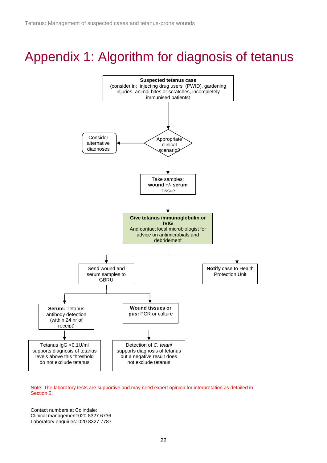## <span id="page-21-0"></span>Appendix 1: Algorithm for diagnosis of tetanus



Note: The laboratory tests are supportive and may need expert opinion for interpretation as detailed in Section 5.

Contact numbers at Colindale: Clinical management:020 8327 6736 Laboratory enquiries: 020 8327 7787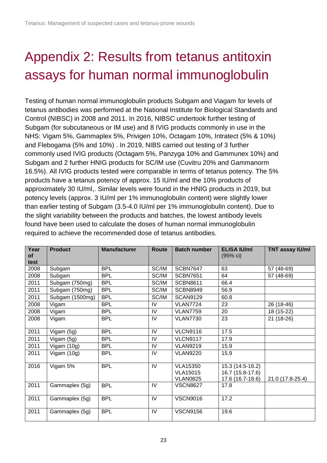# <span id="page-22-0"></span>Appendix 2: Results from tetanus antitoxin assays for human normal immunoglobulin

Testing of human normal immunoglobulin products Subgam and Viagam for levels of tetanus antibodies was performed at the National Institute for Biological Standards and Control (NIBSC) in 2008 and 2011. In 2016, NIBSC undertook further testing of Subgam (for subcutaneous or IM use) and 8 IVIG products commonly in use in the NHS: Vigam 5%, Gammaplex 5%, Privigen 10%, Octagam 10%, Intratect (5% & 10%) and Flebogama (5% and 10%) . In 2019, NIBS carried out testing of 3 further commonly used IVIG products (Octagam 5%, Panzyga 10% and Gammunex 10%) and Subgam and 2 further HNIG products for SC/IM use (Cuvitru 20% and Gammanorm 16.5%). All IVIG products tested were comparable in terms of tetanus potency. The 5% products have a tetanus potency of approx. 15 IU/ml and the 10% products of approximately 30 IU/ml,. Similar levels were found in the HNIG products in 2019, but potency levels (approx. 3 IU/ml per 1% immunoglobulin content) were slightly lower than earlier testing of Subgam (3.5-4.0 IU/ml per 1% immunoglobulin content). Due to the slight variability between the products and batches, the lowest antibody levels found have been used to calculate the doses of human normal immunoglobulin required to achieve the recommended dose of tetanus antibodies.

| Year<br>of<br>test | <b>Product</b>  | <b>Manufacturer</b> | Route | <b>Batch number</b> | <b>ELISA IU/ml</b><br>(95% c) | <b>TNT assay IU/ml</b> |
|--------------------|-----------------|---------------------|-------|---------------------|-------------------------------|------------------------|
|                    |                 | <b>BPL</b>          | SC/IM | <b>SCBN7647</b>     | 63                            |                        |
| 2008               | Subgam          |                     |       |                     |                               | 57 (48-69)             |
| 2008               | Subgam          | <b>BPL</b>          | SC/IM | <b>SCBN7651</b>     | 64                            | 57 (48-69)             |
| 2011               | Subgam (750mg)  | <b>BPL</b>          | SC/IM | <b>SCBN8611</b>     | 66.4                          |                        |
| 2011               | Subgam (750mg)  | <b>BPL</b>          | SC/IM | <b>SCBN8949</b>     | 56.9                          |                        |
| 2011               | Subgam (1500mg) | <b>BPL</b>          | SC/IM | <b>SCAN9129</b>     | 60.8                          |                        |
| 2008               | Vigam           | <b>BPL</b>          | IV    | <b>VLAN7724</b>     | 23                            | 26 (18-46)             |
| 2008               | Vigam           | <b>BPL</b>          | IV    | <b>VLAN7759</b>     | 20                            | 18 (15-22)             |
| 2008               | Vigam           | <b>BPL</b>          | IV    | <b>VLAN7730</b>     | 23                            | 21 (18-26)             |
| 2011               | Vigam (5g)      | <b>BPL</b>          | IV    | <b>VLCN9116</b>     | 17.5                          |                        |
| 2011               | Vigam (5g)      | <b>BPL</b>          | IV    | <b>VLCN9117</b>     | 17.9                          |                        |
| 2011               | Vigam (10g)     | <b>BPL</b>          | IV    | <b>VLAN9219</b>     | 15.9                          |                        |
| 2011               | Vigam (10g)     | <b>BPL</b>          | IV    | <b>VLAN9220</b>     | 15.9                          |                        |
| 2016               | Vigam 5%        | <b>BPL</b>          | IV    | <b>VLA15350</b>     | 15.3 (14.5-16.2)              |                        |
|                    |                 |                     |       | <b>VLA15015</b>     | 16.7 (15.8-17.6)              |                        |
|                    |                 |                     |       | <b>VLAN0825</b>     | 17.6 (16.7-18.6)              | 21.0 (17.8-25.4)       |
| 2011               | Gammaplex (5g)  | <b>BPL</b>          | IV    | <b>VSCN8627</b>     | 17.8                          |                        |
| 2011               | Gammaplex (5g)  | <b>BPL</b>          | IV    | <b>VSCN9016</b>     | 17.2                          |                        |
| 2011               | Gammaplex (5g)  | <b>BPL</b>          | IV    | <b>VSCN9156</b>     | 19.6                          |                        |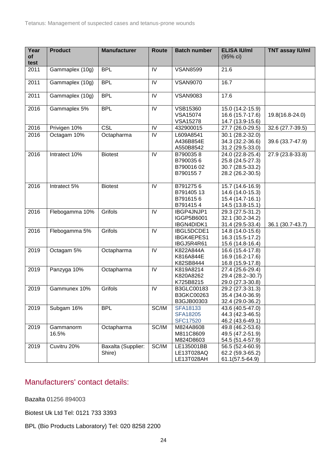| Year       | <b>Product</b>  | <b>Manufacturer</b> | <b>Route</b> | <b>Batch number</b>    | <b>ELISA IU/ml</b>                   | <b>TNT assay IU/ml</b> |
|------------|-----------------|---------------------|--------------|------------------------|--------------------------------------|------------------------|
| of<br>test |                 |                     |              |                        | (95% c)                              |                        |
| 2011       | Gammaplex (10g) | <b>BPL</b>          | IV           | <b>VSAN8599</b>        | 21.6                                 |                        |
| 2011       | Gammaplex (10g) | <b>BPL</b>          | IV           | <b>VSAN9070</b>        | 16.7                                 |                        |
|            |                 |                     |              |                        |                                      |                        |
| 2011       | Gammaplex (10g) | <b>BPL</b>          | IV           | <b>VSAN9083</b>        | 17.6                                 |                        |
| 2016       | Gammaplex 5%    | <b>BPL</b>          | IV           | VSB15360               | 15.0 (14.2-15.9)                     |                        |
|            |                 |                     |              | VSA15074               | 16.6 (15.7-17.6)                     | 19.8(16.8-24.0)        |
|            |                 |                     |              | <b>VSA15278</b>        | 14.7 (13.9-15.6)                     |                        |
| 2016       | Privigen 10%    | <b>CSL</b>          | IV           | 432900015              | 27.7 (26.0-29.5)                     | 32.6 (27.7-39.5)       |
| 2016       | Octagam 10%     | Octapharma          | IV           | L609A8541              | 30.1 (28.2-32.0)                     |                        |
|            |                 |                     |              | A436B854E              | 34.3 (32.2-36.6)                     | 39.6 (33.7-47.9)       |
|            |                 |                     |              | A550B8542              | 31.2 (29.5-33.0)                     |                        |
| 2016       | Intratect 10%   | <b>Biotest</b>      | IV           | B7900358               | 24.0 (22.8-25.4)                     | 27.9 (23.8-33.8)       |
|            |                 |                     |              | B7900356               | 25.8 (24.5-27.3)                     |                        |
|            |                 |                     |              | B79001602<br>B7901557  | 30.7 (28.5-33.2)                     |                        |
|            |                 |                     |              |                        | 28.2 (26.2-30.5)                     |                        |
| 2016       | Intratect 5%    | <b>Biotest</b>      | IV           | B7912756               | $15.7(14.6-16.9)$                    |                        |
|            |                 |                     |              | B791405 13             | 14.6 (14.0-15.3)                     |                        |
|            |                 |                     |              | B7916156               | 15.4 (14.7-16.1)                     |                        |
|            |                 |                     |              | B7914154               | 14.5 (13.8-15.1)                     |                        |
| 2016       | Flebogamma 10%  | Grifols             | IV           | IBGP4JNJP1             | 29.3 (27.5-31.2)                     |                        |
|            |                 |                     |              | IGGP5B6001             | 32.1 (30.2-34.2)                     |                        |
|            |                 |                     |              | IBGN4DIDK1             | 31.4 (29.5-33.4)                     | 36.1 (30.7-43.7)       |
| 2016       | Flebogamma 5%   | Grifols             | IV           | IBGL5DCDE1             | 14.8 (14.0-15.6)                     |                        |
|            |                 |                     |              | IBGK4EPES1             | 16.3 (15.5-17.2)                     |                        |
|            |                 |                     |              | IBGJ5R4R61             | 15.6 (14.8-16.4)                     |                        |
| 2019       | Octagam 5%      | Octapharma          | IV           | K822A844A              | 16.6 (15.4-17.8)                     |                        |
|            |                 |                     |              | K816A844E              | 16.9 (16.2-17.6)                     |                        |
| 2019       |                 |                     | IV           | K82SB8444              | 16.8 (15.9-17.8)                     |                        |
|            | Panzyga 10%     | Octapharma          |              | K819A8214<br>K820A8262 | 27.4 (25.6-29.4)<br>29.4 (28.2-30.7) |                        |
|            |                 |                     |              | K725B8215              | 29.0 (27.3-30.8)                     |                        |
| 2019       | Gammunex 10%    | Grifols             | IV           | B3GLC00183             | 29.2 (27.3-31.3)                     |                        |
|            |                 |                     |              | B3GKC00263             | 35.4 (34.0-36.9)                     |                        |
|            |                 |                     |              | B3GJB00303             | 32.4 (29.0-36.2)                     |                        |
| 2019       | Subgam 16%      | <b>BPL</b>          | SC/IM        | SFA18133               | 43.6 (40.5-47.0)                     |                        |
|            |                 |                     |              | <b>SFA18205</b>        | 44.3 (42.3-46.5)                     |                        |
|            |                 |                     |              | <b>SFC17520</b>        | 46.2 (43.6-49.1)                     |                        |
| 2019       | Gammanorm       | Octapharma          | SC/IM        | M824A8608              | 49.8 (46.2-53.6)                     |                        |
|            | 16.5%           |                     |              | M811C8609              | 49.5 (47.2-51.9)                     |                        |
|            |                 |                     |              | M824D8603              | 54.5 (51.4-57.9)                     |                        |
| 2019       | Cuvitru 20%     | Baxalta (Supplier:  | SC/IM        | LE135001BB             | 56.5 (52.4-60.9)                     |                        |
|            |                 | Shire)              |              | LE13T028AQ             | 62.2 (59.3-65.2)                     |                        |
|            |                 |                     |              | LE13T028AH             | 61.1(57.5-64.9)                      |                        |

### <span id="page-23-0"></span>Manufacturers' contact details:

Bazalta 01256 894003

Biotest Uk Ltd Tel: 0121 733 3393

BPL (Bio Products Laboratory) Tel: 020 8258 2200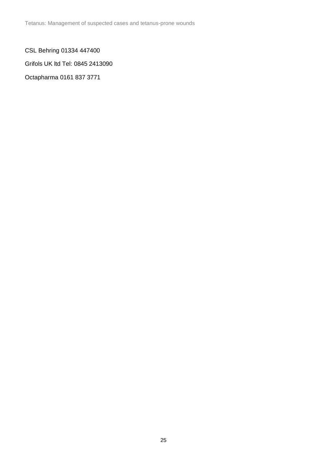Tetanus: Management of suspected cases and tetanus-prone wounds

CSL Behring 01334 447400

Grifols UK ltd Tel: 0845 2413090

Octapharma 0161 837 3771